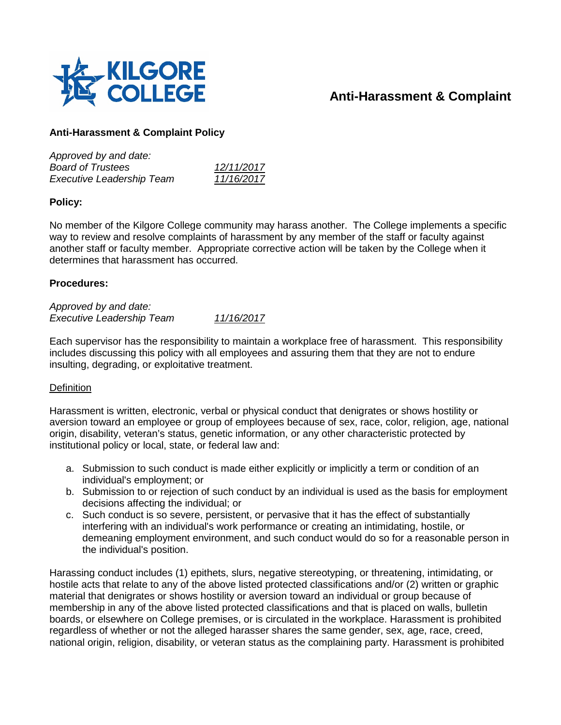

# **Anti-Harassment & Complaint**

## **Anti-Harassment & Complaint Policy**

| Approved by and date:            |            |
|----------------------------------|------------|
| <b>Board of Trustees</b>         | 12/11/2017 |
| <b>Executive Leadership Team</b> | 11/16/2017 |

## **Policy:**

No member of the Kilgore College community may harass another. The College implements a specific way to review and resolve complaints of harassment by any member of the staff or faculty against another staff or faculty member. Appropriate corrective action will be taken by the College when it determines that harassment has occurred.

#### **Procedures:**

*Approved by and date: Executive Leadership Team 11/16/2017*

Each supervisor has the responsibility to maintain a workplace free of harassment. This responsibility includes discussing this policy with all employees and assuring them that they are not to endure insulting, degrading, or exploitative treatment.

## **Definition**

Harassment is written, electronic, verbal or physical conduct that denigrates or shows hostility or aversion toward an employee or group of employees because of sex, race, color, religion, age, national origin, disability, veteran's status, genetic information, or any other characteristic protected by institutional policy or local, state, or federal law and:

- a. Submission to such conduct is made either explicitly or implicitly a term or condition of an individual's employment; or
- b. Submission to or rejection of such conduct by an individual is used as the basis for employment decisions affecting the individual; or
- c. Such conduct is so severe, persistent, or pervasive that it has the effect of substantially interfering with an individual's work performance or creating an intimidating, hostile, or demeaning employment environment, and such conduct would do so for a reasonable person in the individual's position.

Harassing conduct includes (1) epithets, slurs, negative stereotyping, or threatening, intimidating, or hostile acts that relate to any of the above listed protected classifications and/or (2) written or graphic material that denigrates or shows hostility or aversion toward an individual or group because of membership in any of the above listed protected classifications and that is placed on walls, bulletin boards, or elsewhere on College premises, or is circulated in the workplace. Harassment is prohibited regardless of whether or not the alleged harasser shares the same gender, sex, age, race, creed, national origin, religion, disability, or veteran status as the complaining party. Harassment is prohibited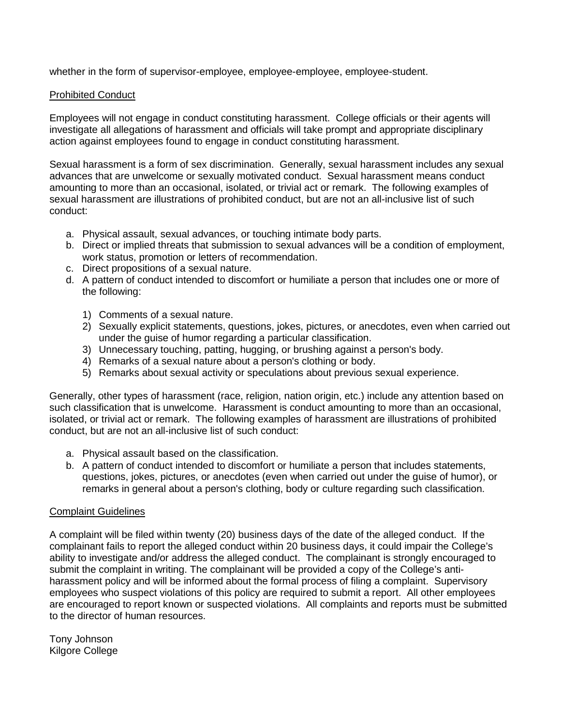whether in the form of supervisor-employee, employee-employee, employee-student.

### Prohibited Conduct

Employees will not engage in conduct constituting harassment. College officials or their agents will investigate all allegations of harassment and officials will take prompt and appropriate disciplinary action against employees found to engage in conduct constituting harassment.

Sexual harassment is a form of sex discrimination. Generally, sexual harassment includes any sexual advances that are unwelcome or sexually motivated conduct. Sexual harassment means conduct amounting to more than an occasional, isolated, or trivial act or remark. The following examples of sexual harassment are illustrations of prohibited conduct, but are not an all-inclusive list of such conduct:

- a. Physical assault, sexual advances, or touching intimate body parts.
- b. Direct or implied threats that submission to sexual advances will be a condition of employment, work status, promotion or letters of recommendation.
- c. Direct propositions of a sexual nature.
- d. A pattern of conduct intended to discomfort or humiliate a person that includes one or more of the following:
	- 1) Comments of a sexual nature.
	- 2) Sexually explicit statements, questions, jokes, pictures, or anecdotes, even when carried out under the guise of humor regarding a particular classification.
	- 3) Unnecessary touching, patting, hugging, or brushing against a person's body.
	- 4) Remarks of a sexual nature about a person's clothing or body.
	- 5) Remarks about sexual activity or speculations about previous sexual experience.

Generally, other types of harassment (race, religion, nation origin, etc.) include any attention based on such classification that is unwelcome. Harassment is conduct amounting to more than an occasional, isolated, or trivial act or remark. The following examples of harassment are illustrations of prohibited conduct, but are not an all-inclusive list of such conduct:

- a. Physical assault based on the classification.
- b. A pattern of conduct intended to discomfort or humiliate a person that includes statements, questions, jokes, pictures, or anecdotes (even when carried out under the guise of humor), or remarks in general about a person's clothing, body or culture regarding such classification.

#### Complaint Guidelines

A complaint will be filed within twenty (20) business days of the date of the alleged conduct. If the complainant fails to report the alleged conduct within 20 business days, it could impair the College's ability to investigate and/or address the alleged conduct. The complainant is strongly encouraged to submit the complaint in writing. The complainant will be provided a copy of the College's antiharassment policy and will be informed about the formal process of filing a complaint. Supervisory employees who suspect violations of this policy are required to submit a report. All other employees are encouraged to report known or suspected violations. All complaints and reports must be submitted to the director of human resources.

Tony Johnson Kilgore College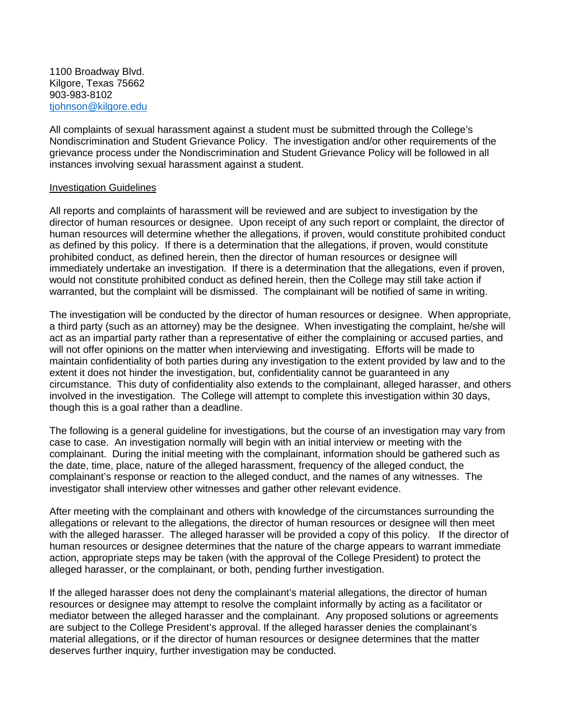1100 Broadway Blvd. Kilgore, Texas 75662 903-983-8102 [tjohnson@kilgore.edu](mailto:tjohnson@kilgore.edu)

All complaints of sexual harassment against a student must be submitted through the College's Nondiscrimination and Student Grievance Policy. The investigation and/or other requirements of the grievance process under the Nondiscrimination and Student Grievance Policy will be followed in all instances involving sexual harassment against a student.

#### Investigation Guidelines

All reports and complaints of harassment will be reviewed and are subject to investigation by the director of human resources or designee. Upon receipt of any such report or complaint, the director of human resources will determine whether the allegations, if proven, would constitute prohibited conduct as defined by this policy. If there is a determination that the allegations, if proven, would constitute prohibited conduct, as defined herein, then the director of human resources or designee will immediately undertake an investigation. If there is a determination that the allegations, even if proven, would not constitute prohibited conduct as defined herein, then the College may still take action if warranted, but the complaint will be dismissed. The complainant will be notified of same in writing.

The investigation will be conducted by the director of human resources or designee. When appropriate, a third party (such as an attorney) may be the designee. When investigating the complaint, he/she will act as an impartial party rather than a representative of either the complaining or accused parties, and will not offer opinions on the matter when interviewing and investigating. Efforts will be made to maintain confidentiality of both parties during any investigation to the extent provided by law and to the extent it does not hinder the investigation, but, confidentiality cannot be guaranteed in any circumstance. This duty of confidentiality also extends to the complainant, alleged harasser, and others involved in the investigation. The College will attempt to complete this investigation within 30 days, though this is a goal rather than a deadline.

The following is a general guideline for investigations, but the course of an investigation may vary from case to case. An investigation normally will begin with an initial interview or meeting with the complainant. During the initial meeting with the complainant, information should be gathered such as the date, time, place, nature of the alleged harassment, frequency of the alleged conduct, the complainant's response or reaction to the alleged conduct, and the names of any witnesses. The investigator shall interview other witnesses and gather other relevant evidence.

After meeting with the complainant and others with knowledge of the circumstances surrounding the allegations or relevant to the allegations, the director of human resources or designee will then meet with the alleged harasser. The alleged harasser will be provided a copy of this policy. If the director of human resources or designee determines that the nature of the charge appears to warrant immediate action, appropriate steps may be taken (with the approval of the College President) to protect the alleged harasser, or the complainant, or both, pending further investigation.

If the alleged harasser does not deny the complainant's material allegations, the director of human resources or designee may attempt to resolve the complaint informally by acting as a facilitator or mediator between the alleged harasser and the complainant. Any proposed solutions or agreements are subject to the College President's approval. If the alleged harasser denies the complainant's material allegations, or if the director of human resources or designee determines that the matter deserves further inquiry, further investigation may be conducted.